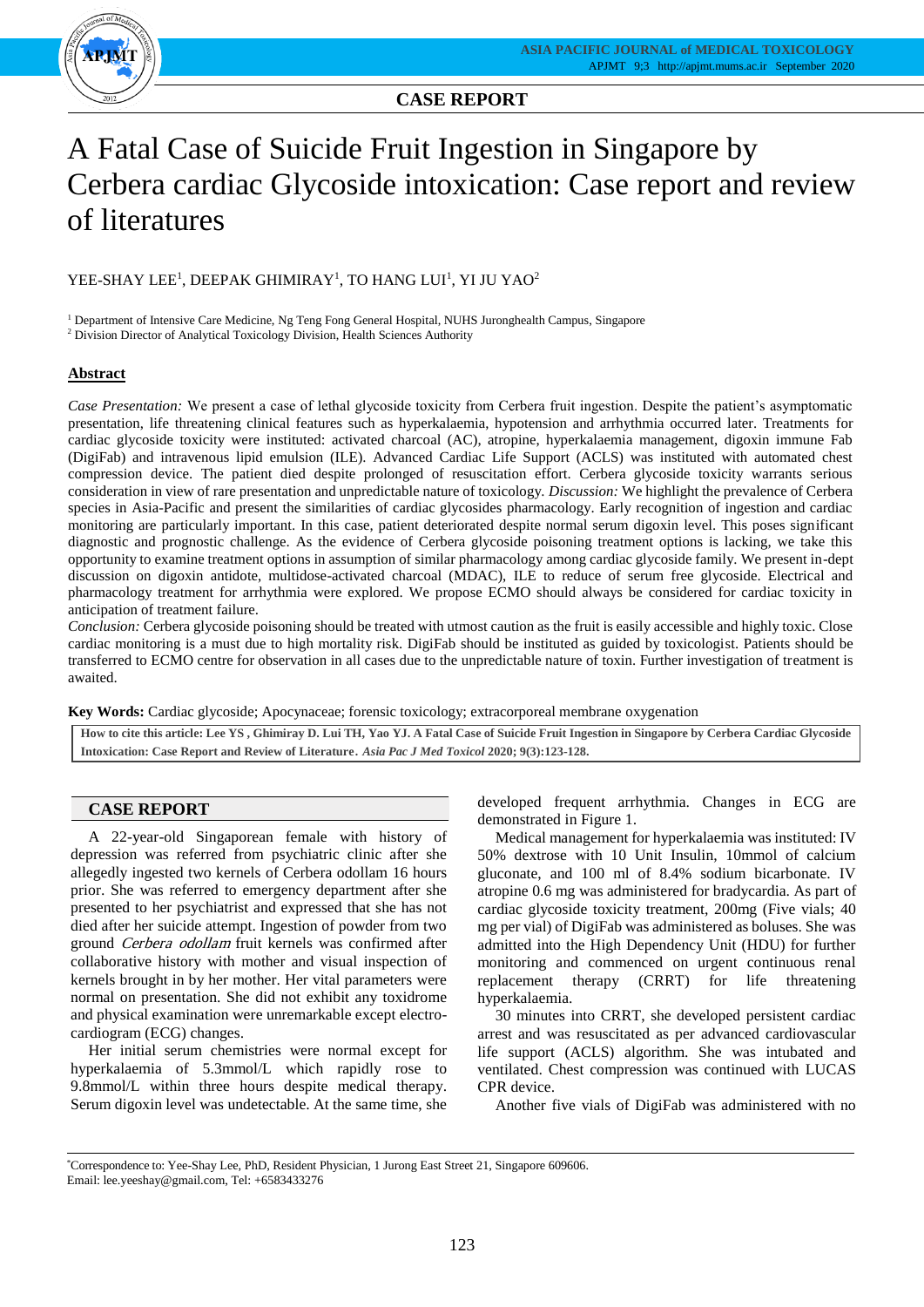

# A Fatal Case of Suicide Fruit Ingestion in Singapore by Cerbera cardiac Glycoside intoxication: Case report and review of literatures

# YEE-SHAY LEE<sup>1</sup>, DEEPAK GHIMIRAY<sup>1</sup>, TO HANG LUI<sup>1</sup>, YI JU YAO<sup>2</sup>

<sup>1</sup> Department of Intensive Care Medicine, Ng Teng Fong General Hospital, NUHS Juronghealth Campus, Singapore <sup>2</sup> Division Director of Analytical Toxicology Division, Health Sciences Authority

# **Abstract**

*Case Presentation:* We present a case of lethal glycoside toxicity from Cerbera fruit ingestion. Despite the patient's asymptomatic presentation, life threatening clinical features such as hyperkalaemia, hypotension and arrhythmia occurred later. Treatments for cardiac glycoside toxicity were instituted: activated charcoal (AC), atropine, hyperkalaemia management, digoxin immune Fab (DigiFab) and intravenous lipid emulsion (ILE). Advanced Cardiac Life Support (ACLS) was instituted with automated chest compression device. The patient died despite prolonged of resuscitation effort. Cerbera glycoside toxicity warrants serious consideration in view of rare presentation and unpredictable nature of toxicology. *Discussion:* We highlight the prevalence of Cerbera species in Asia-Pacific and present the similarities of cardiac glycosides pharmacology. Early recognition of ingestion and cardiac monitoring are particularly important. In this case, patient deteriorated despite normal serum digoxin level. This poses significant diagnostic and prognostic challenge. As the evidence of Cerbera glycoside poisoning treatment options is lacking, we take this opportunity to examine treatment options in assumption of similar pharmacology among cardiac glycoside family. We present in-dept discussion on digoxin antidote, multidose-activated charcoal (MDAC), ILE to reduce of serum free glycoside. Electrical and pharmacology treatment for arrhythmia were explored. We propose ECMO should always be considered for cardiac toxicity in anticipation of treatment failure.

*Conclusion:* Cerbera glycoside poisoning should be treated with utmost caution as the fruit is easily accessible and highly toxic. Close cardiac monitoring is a must due to high mortality risk. DigiFab should be instituted as guided by toxicologist. Patients should be transferred to ECMO centre for observation in all cases due to the unpredictable nature of toxin. Further investigation of treatment is awaited.

**Key Words:** Cardiac glycoside; Apocynaceae; forensic toxicology; extracorporeal membrane oxygenation

**How to cite this article: Lee YS , Ghimiray D. Lui TH, Yao YJ. A Fatal Case of Suicide Fruit Ingestion in Singapore by Cerbera Cardiac Glycoside Intoxication: Case Report and Review of Literature**. *Asia Pac J Med Toxicol* **2020; 9(3):123-128.**

# **CASE REPORT**

A 22-year-old Singaporean female with history of depression was referred from psychiatric clinic after she allegedly ingested two kernels of Cerbera odollam 16 hours prior. She was referred to emergency department after she presented to her psychiatrist and expressed that she has not died after her suicide attempt. Ingestion of powder from two ground Cerbera odollam fruit kernels was confirmed after collaborative history with mother and visual inspection of kernels brought in by her mother. Her vital parameters were normal on presentation. She did not exhibit any toxidrome and physical examination were unremarkable except electrocardiogram (ECG) changes.

Her initial serum chemistries were normal except for hyperkalaemia of 5.3mmol/L which rapidly rose to 9.8mmol/L within three hours despite medical therapy. Serum digoxin level was undetectable. At the same time, she

developed frequent arrhythmia. Changes in ECG are demonstrated in Figure 1.

Medical management for hyperkalaemia was instituted: IV 50% dextrose with 10 Unit Insulin, 10mmol of calcium gluconate, and 100 ml of 8.4% sodium bicarbonate. IV atropine 0.6 mg was administered for bradycardia. As part of cardiac glycoside toxicity treatment, 200mg (Five vials; 40 mg per vial) of DigiFab was administered as boluses. She was admitted into the High Dependency Unit (HDU) for further monitoring and commenced on urgent continuous renal replacement therapy (CRRT) for life threatening hyperkalaemia.

30 minutes into CRRT, she developed persistent cardiac arrest and was resuscitated as per advanced cardiovascular life support (ACLS) algorithm. She was intubated and ventilated. Chest compression was continued with LUCAS CPR device.

Another five vials of DigiFab was administered with no

<sup>\*</sup>Correspondence to: Yee-Shay Lee, PhD, Resident Physician, 1 Jurong East Street 21, Singapore 609606. Email: lee.yeeshay@gmail.com, Tel: +6583433276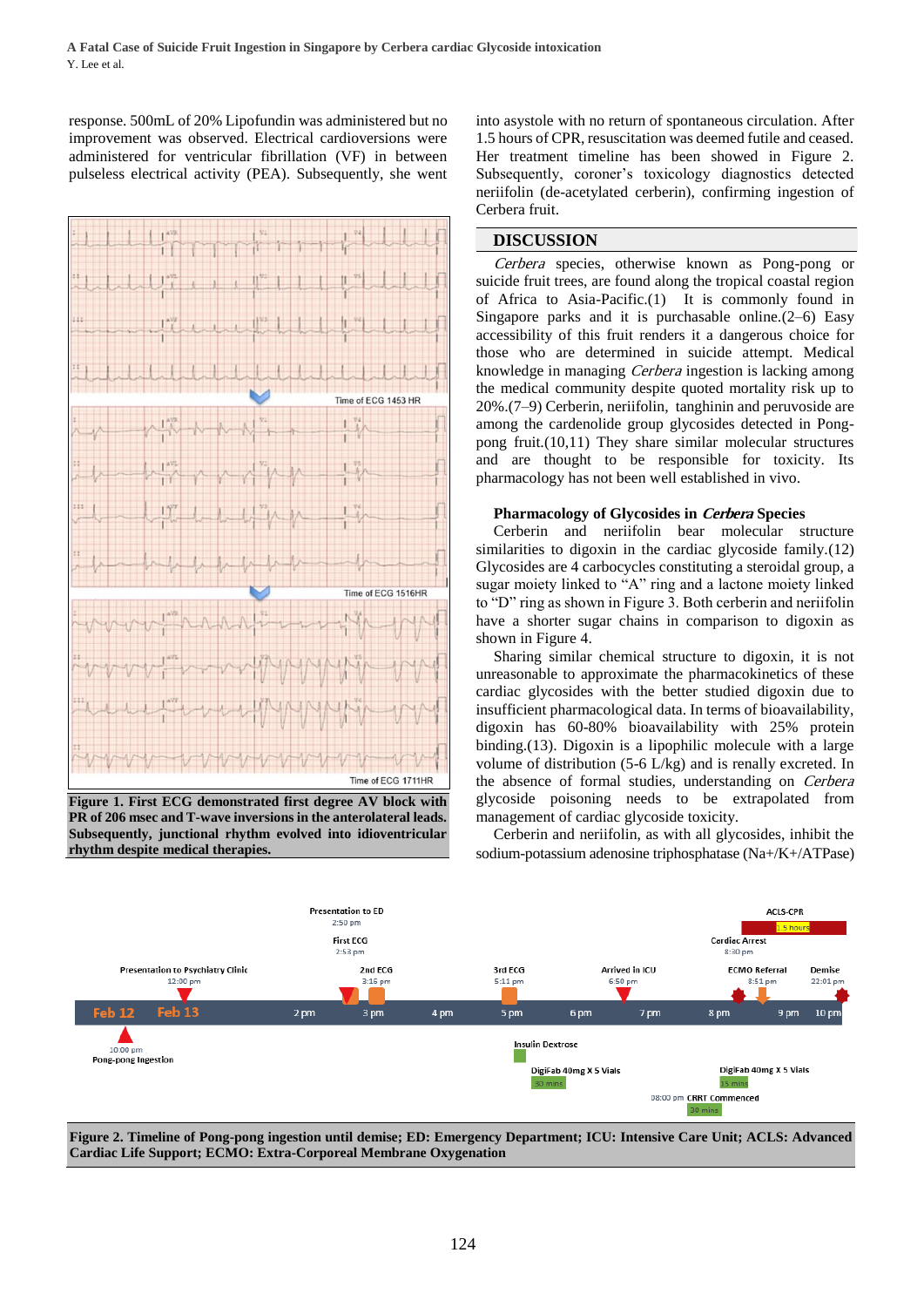response. 500mL of 20% Lipofundin was administered but no improvement was observed. Electrical cardioversions were administered for ventricular fibrillation (VF) in between pulseless electrical activity (PEA). Subsequently, she went



**Figure 1. First ECG demonstrated first degree AV block with PR of 206 msec and T-wave inversions in the anterolateral leads. Subsequently, junctional rhythm evolved into idioventricular rhythm despite medical therapies.**

into asystole with no return of spontaneous circulation. After 1.5 hours of CPR, resuscitation was deemed futile and ceased. Her treatment timeline has been showed in Figure 2. Subsequently, coroner's toxicology diagnostics detected neriifolin (de-acetylated cerberin), confirming ingestion of Cerbera fruit.

#### **DISCUSSION**

Cerbera species, otherwise known as Pong-pong or suicide fruit trees, are found along the tropical coastal region of Africa to Asia-Pacific[.\(1\)](https://paperpile.com/c/ACac4j/jvG7) It is commonly found in Singapore parks and it is purchasable online. $(2-6)$  Easy accessibility of this fruit renders it a dangerous choice for those who are determined in suicide attempt. Medical knowledge in managing Cerbera ingestion is lacking among the medical community despite quoted mortality risk up to 20[%.\(7–9\)](https://paperpile.com/c/ACac4j/WSnt+6q46+Myxo) Cerberin, neriifolin, tanghinin and peruvoside are among the cardenolide group glycosides detected in Pongpong fruit[.\(10,11\)](https://paperpile.com/c/ACac4j/TvyD+GVZQ) They share similar molecular structures and are thought to be responsible for toxicity. Its pharmacology has not been well established in vivo.

#### **Pharmacology of Glycosides in Cerbera Species**

Cerberin and neriifolin bear molecular structure similarities to digoxin in the cardiac glycoside family[.\(12\)](https://paperpile.com/c/ACac4j/Zf7i) Glycosides are 4 carbocycles constituting a steroidal group, a sugar moiety linked to "A" ring and a lactone moiety linked to "D" ring as shown in Figure 3. Both cerberin and neriifolin have a shorter sugar chains in comparison to digoxin as shown in Figure 4.

Sharing similar chemical structure to digoxin, it is not unreasonable to approximate the pharmacokinetics of these cardiac glycosides with the better studied digoxin due to insufficient pharmacological data. In terms of bioavailability, digoxin has 60-80% bioavailability with 25% protein binding[.\(13\).](https://paperpile.com/c/ACac4j/dD3B) Digoxin is a lipophilic molecule with a large volume of distribution (5-6 L/kg) and is renally excreted. In the absence of formal studies, understanding on Cerbera glycoside poisoning needs to be extrapolated from management of cardiac glycoside toxicity.

Cerberin and neriifolin, as with all glycosides, inhibit the sodium-potassium adenosine triphosphatase (Na+/K+/ATPase)



**Figure 2. Timeline of Pong-pong ingestion until demise; ED: Emergency Department; ICU: Intensive Care Unit; ACLS: Advanced Cardiac Life Support; ECMO: Extra-Corporeal Membrane Oxygenation**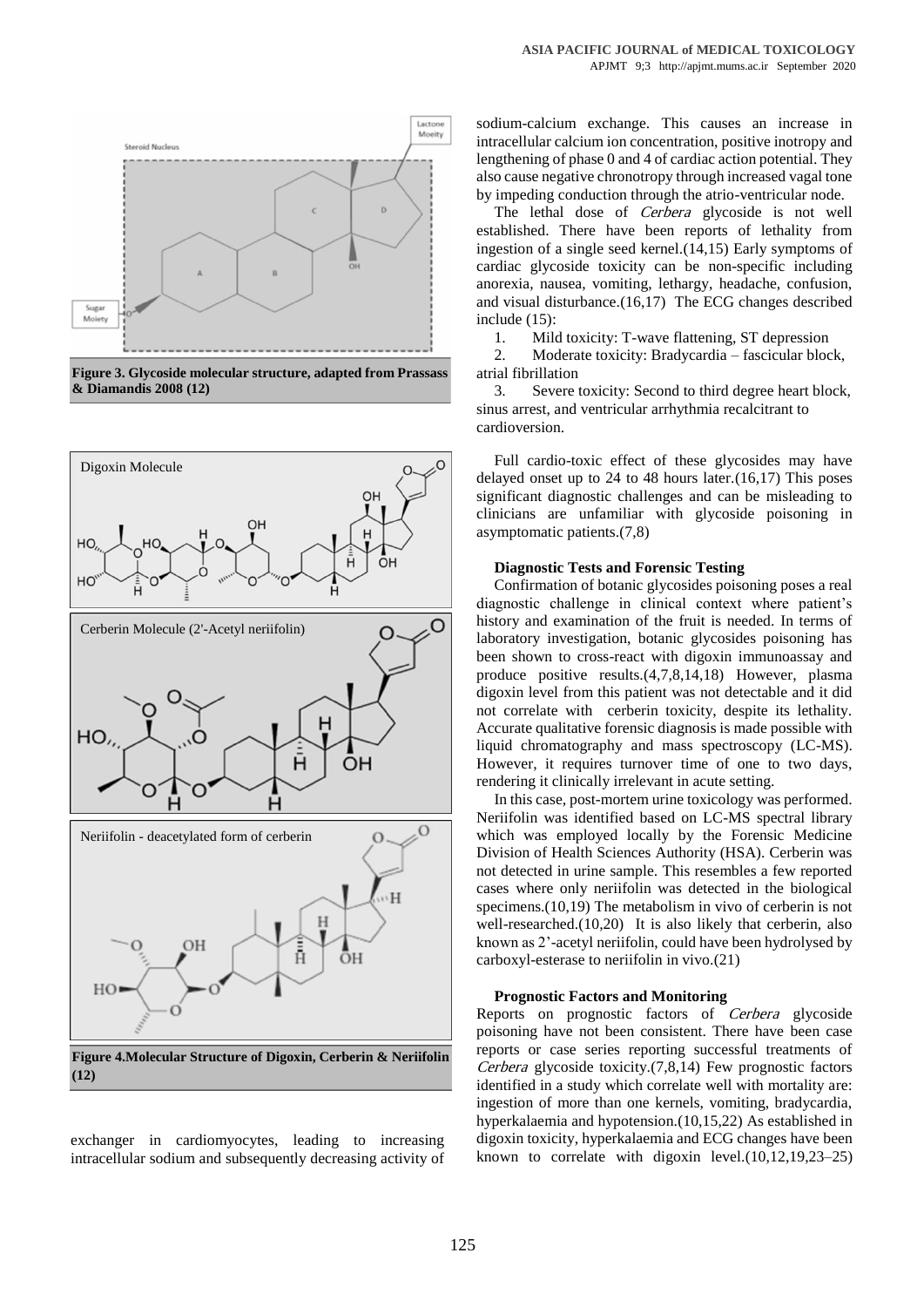

**Figure 3. Glycoside molecular structure, adapted from Prassass & Diamandis 2008 (12)**



exchanger in cardiomyocytes, leading to increasing intracellular sodium and subsequently decreasing activity of

sodium-calcium exchange. This causes an increase in intracellular calcium ion concentration, positive inotropy and lengthening of phase 0 and 4 of cardiac action potential. They also cause negative chronotropy through increased vagal tone by impeding conduction through the atrio-ventricular node.

The lethal dose of *Cerbera* glycoside is not well established. There have been reports of lethality from ingestion of a single seed kernel[.\(14,15\)](https://paperpile.com/c/ACac4j/kMmg+23dO) Early symptoms of cardiac glycoside toxicity can be non-specific including anorexia, nausea, vomiting, lethargy, headache, confusion, and visual disturbanc[e.\(16,17\)](https://paperpile.com/c/ACac4j/Vkxf+Ub3P) The ECG changes described include [\(15\):](https://paperpile.com/c/ACac4j/23dO)

1. Mild toxicity: T-wave flattening, ST depression

2. Moderate toxicity: Bradycardia – fascicular block, atrial fibrillation

3. Severe toxicity: Second to third degree heart block, sinus arrest, and ventricular arrhythmia recalcitrant to cardioversion.

Full cardio-toxic effect of these glycosides may have delayed onset up to 24 to 48 hours later[.\(16,17\)](https://paperpile.com/c/ACac4j/Vkxf+Ub3P) This poses significant diagnostic challenges and can be misleading to clinicians are unfamiliar with glycoside poisoning in asymptomatic patients[.\(7,8\)](https://paperpile.com/c/ACac4j/WSnt+6q46)

### **Diagnostic Tests and Forensic Testing**

Confirmation of botanic glycosides poisoning poses a real diagnostic challenge in clinical context where patient's history and examination of the fruit is needed. In terms of laboratory investigation, botanic glycosides poisoning has been shown to cross-react with digoxin immunoassay and produce positive results[.\(4,7,8,14,18\)](https://paperpile.com/c/ACac4j/6q46+Iujk+WSnt+kMmg+azpI) However, plasma digoxin level from this patient was not detectable and it did not correlate with cerberin toxicity, despite its lethality. Accurate qualitative forensic diagnosis is made possible with liquid chromatography and mass spectroscopy (LC-MS). However, it requires turnover time of one to two days, rendering it clinically irrelevant in acute setting.

In this case, post-mortem urine toxicology was performed. Neriifolin was identified based on LC-MS spectral library which was employed locally by the Forensic Medicine Division of Health Sciences Authority (HSA). Cerberin was not detected in urine sample. This resembles a few reported cases where only neriifolin was detected in the biological specimens[.\(10,19\)](https://paperpile.com/c/ACac4j/TvyD+oEib) The metabolism in vivo of cerberin is not well-researched[.\(10,20\)](https://paperpile.com/c/ACac4j/TvyD+6CkI) It is also likely that cerberin, also known as 2'-acetyl neriifolin, could have been hydrolysed by carboxyl-esterase to neriifolin in vivo[.\(21\)](https://paperpile.com/c/ACac4j/swS9)

#### **Prognostic Factors and Monitoring**

Reports on prognostic factors of Cerbera glycoside poisoning have not been consistent. There have been case reports or case series reporting successful treatments of Cerbera glycoside toxicit[y.\(7,8,14\)](https://paperpile.com/c/ACac4j/mmqb+6q46+kMmg+WSnt) Few prognostic factors identified in a study which correlate well with mortality are: ingestion of more than one kernels, vomiting, bradycardia, hyperkalaemia and hypotension[.\(10,15,22\)](https://paperpile.com/c/ACac4j/23dO+TvyD+ntsa) As established in digoxin toxicity, hyperkalaemia and ECG changes have been known to correlate with digoxin level[.\(10,12,19,23–25\)](https://paperpile.com/c/ACac4j/TvyD+Zf7i+oEib+uJwG+Smuc+XzuE)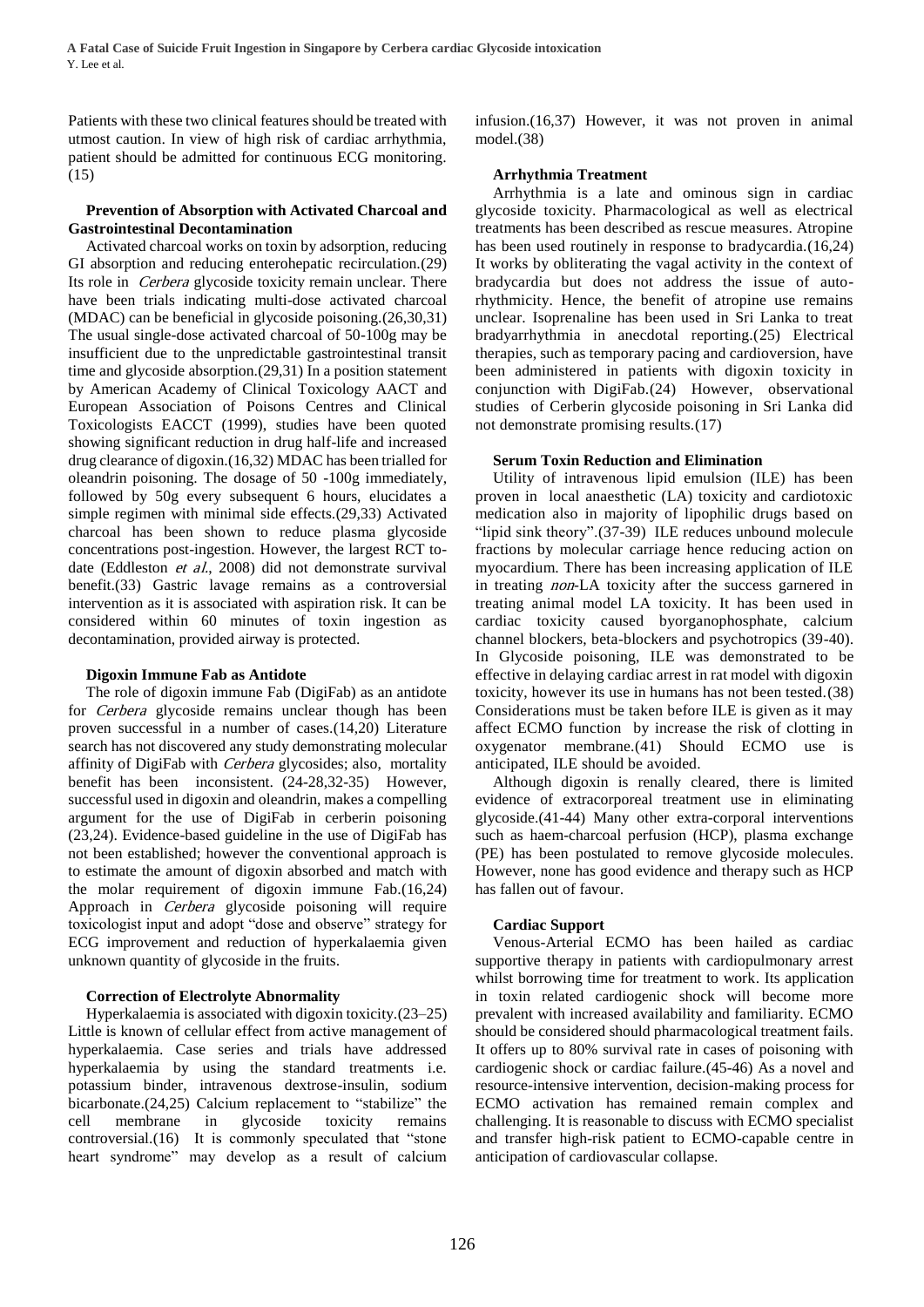Patients with these two clinical features should be treated with utmost caution. In view of high risk of cardiac arrhythmia, patient should be admitted for continuous ECG monitoring. [\(15\)](https://paperpile.com/c/ACac4j/23dO)

### **Prevention of Absorption with Activated Charcoal and Gastrointestinal Decontamination**

Activated charcoal works on toxin by adsorption, reducing GI absorption and reducing enterohepatic recirculation[.\(29\)](https://paperpile.com/c/ACac4j/Mep8) Its role in Cerbera glycoside toxicity remain unclear. There have been trials indicating multi-dose activated charcoal (MDAC) can be beneficial in glycoside poisoning[.\(26,30,31\)](https://paperpile.com/c/ACac4j/OjrO+mmqb+nZEY) The usual single-dose activated charcoal of 50-100g may be insufficient due to the unpredictable gastrointestinal transit time and glycoside absorption[.\(29,31\)](https://paperpile.com/c/ACac4j/Mep8+nZEY) In a position statement by American Academy of Clinical Toxicology AACT and European Association of Poisons Centres and Clinical Toxicologists EACCT (1999), studies have been quoted showing significant reduction in drug half-life and increased drug clearance of digoxin[.\(16,32\)](https://paperpile.com/c/ACac4j/Arzv+Vkxf) MDAC has been trialled for oleandrin poisoning. The dosage of 50 -100g immediately, followed by 50g every subsequent 6 hours, elucidates a simple regimen with minimal side effects[.\(29,33\)](https://paperpile.com/c/ACac4j/Mep8+x3pC) Activated charcoal has been shown to reduce plasma glycoside concentrations post-ingestion. However, the largest RCT todate (Eddleston et al., 2008) did not demonstrate survival benefit[.\(33\)](https://paperpile.com/c/ACac4j/x3pC) Gastric lavage remains as a controversial intervention as it is associated with aspiration risk. It can be considered within 60 minutes of toxin ingestion as decontamination, provided airway is protected.

# **Digoxin Immune Fab as Antidote**

The role of digoxin immune Fab (DigiFab) as an antidote for Cerbera glycoside remains unclear though has been proven successful in a number of cases[.\(14,20\)](https://paperpile.com/c/ACac4j/6CkI+kMmg) Literature search has not discovered any study demonstrating molecular affinity of DigiFab with Cerbera glycosides; also, mortality benefit has been inconsistent. [\(24-28,32-35\)](https://paperpile.com/c/ACac4j/ZcPM+4TrN+dD3B+XzuE+Smuc+QgA1+zk97) However, successful used in digoxin and oleandrin, makes a compelling argument for the use of DigiFab in cerberin poisoning (23,24). Evidence-based guideline in the use of DigiFab has not been established; however the conventional approach is to estimate the amount of digoxin absorbed and match with the molar requirement of digoxin immune Fab[.\(16,24\)](https://paperpile.com/c/ACac4j/Smuc+Vkxf)  Approach in Cerbera glycoside poisoning will require toxicologist input and adopt "dose and observe" strategy for ECG improvement and reduction of hyperkalaemia given unknown quantity of glycoside in the fruits.

# **Correction of Electrolyte Abnormality**

Hyperkalaemia is associated with digoxin toxicity[.\(23–25\)](https://paperpile.com/c/ACac4j/Smuc+XzuE+uJwG) Little is known of cellular effect from active management of hyperkalaemia. Case series and trials have addressed hyperkalaemia by using the standard treatments i.e. potassium binder, intravenous dextrose-insulin, sodium bicarbonate[.\(24,25\)](https://paperpile.com/c/ACac4j/Smuc+XzuE) Calcium replacement to "stabilize" the cell membrane in glycoside toxicity remains controversial[.\(16\)](https://paperpile.com/c/ACac4j/Vkxf) It is commonly speculated that "stone heart syndrome" may develop as a result of calcium

infusio[n.\(16,37\)](https://paperpile.com/c/ACac4j/Vkxf+uqtk) However, it was not proven in animal model[.\(38\)](https://paperpile.com/c/ACac4j/LPgZ)

# **Arrhythmia Treatment**

Arrhythmia is a late and ominous sign in cardiac glycoside toxicity. Pharmacological as well as electrical treatments has been described as rescue measures. Atropine has been used routinely in response to bradycardia[.\(16,24\)](https://paperpile.com/c/ACac4j/Vkxf+Smuc)  It works by obliterating the vagal activity in the context of bradycardia but does not address the issue of autorhythmicity. Hence, the benefit of atropine use remains unclear. Isoprenaline has been used in Sri Lanka to treat bradyarrhythmia in anecdotal reporting.(25) Electrical therapies, such as temporary pacing and cardioversion, have been administered in patients with digoxin toxicity in conjunction with DigiFab[.\(24\)](https://paperpile.com/c/ACac4j/Smuc) However, observational studies of Cerberin glycoside poisoning in Sri Lanka did not demonstrate promising results[.\(17\)](https://paperpile.com/c/ACac4j/Vkxf)

# **Serum Toxin Reduction and Elimination**

Utility of intravenous lipid emulsion (ILE) has been proven in local anaesthetic (LA) toxicity and cardiotoxic medication also in majority of lipophilic drugs based on "lipid sink theory"[.\(37-39\)](https://paperpile.com/c/ACac4j/GiG7+H7ep) ILE reduces unbound molecule fractions by molecular carriage hence reducing action on myocardium. There has been increasing application of ILE in treating non-LA toxicity after the success garnered in treating animal model LA toxicity. It has been used in cardiac toxicity caused byorganophosphate, calcium channel blockers, beta-blockers and psychotropics (39-40). In Glycoside poisoning, ILE was demonstrated to be effective in delaying cardiac arrest in rat model with digoxin toxicity, however its use in humans has not been tested[.\(38\)](https://paperpile.com/c/ACac4j/6Mqs) Considerations must be taken before ILE is given as it may affect ECMO function by increase the risk of clotting in oxygenator membrane[.\(41\)](https://paperpile.com/c/ACac4j/b3dp) Should ECMO use is anticipated, ILE should be avoided.

Although digoxin is renally cleared, there is limited evidence of extracorporeal treatment use in eliminating glycoside[.\(41-44\)](https://paperpile.com/c/ACac4j/QI6f+WAIc) Many other extra-corporal interventions such as haem-charcoal perfusion (HCP), plasma exchange (PE) has been postulated to remove glycoside molecules. However, none has good evidence and therapy such as HCP has fallen out of favour.

# **Cardiac Support**

Venous-Arterial ECMO has been hailed as cardiac supportive therapy in patients with cardiopulmonary arrest whilst borrowing time for treatment to work. Its application in toxin related cardiogenic shock will become more prevalent with increased availability and familiarity. ECMO should be considered should pharmacological treatment fails. It offers up to 80% survival rate in cases of poisoning with cardiogenic shock or cardiac failure[.\(45-46\)](https://paperpile.com/c/ACac4j/tZ1H) As a novel and resource-intensive intervention, decision-making process for ECMO activation has remained remain complex and challenging. It is reasonable to discuss with ECMO specialist and transfer high-risk patient to ECMO-capable centre in anticipation of cardiovascular collapse.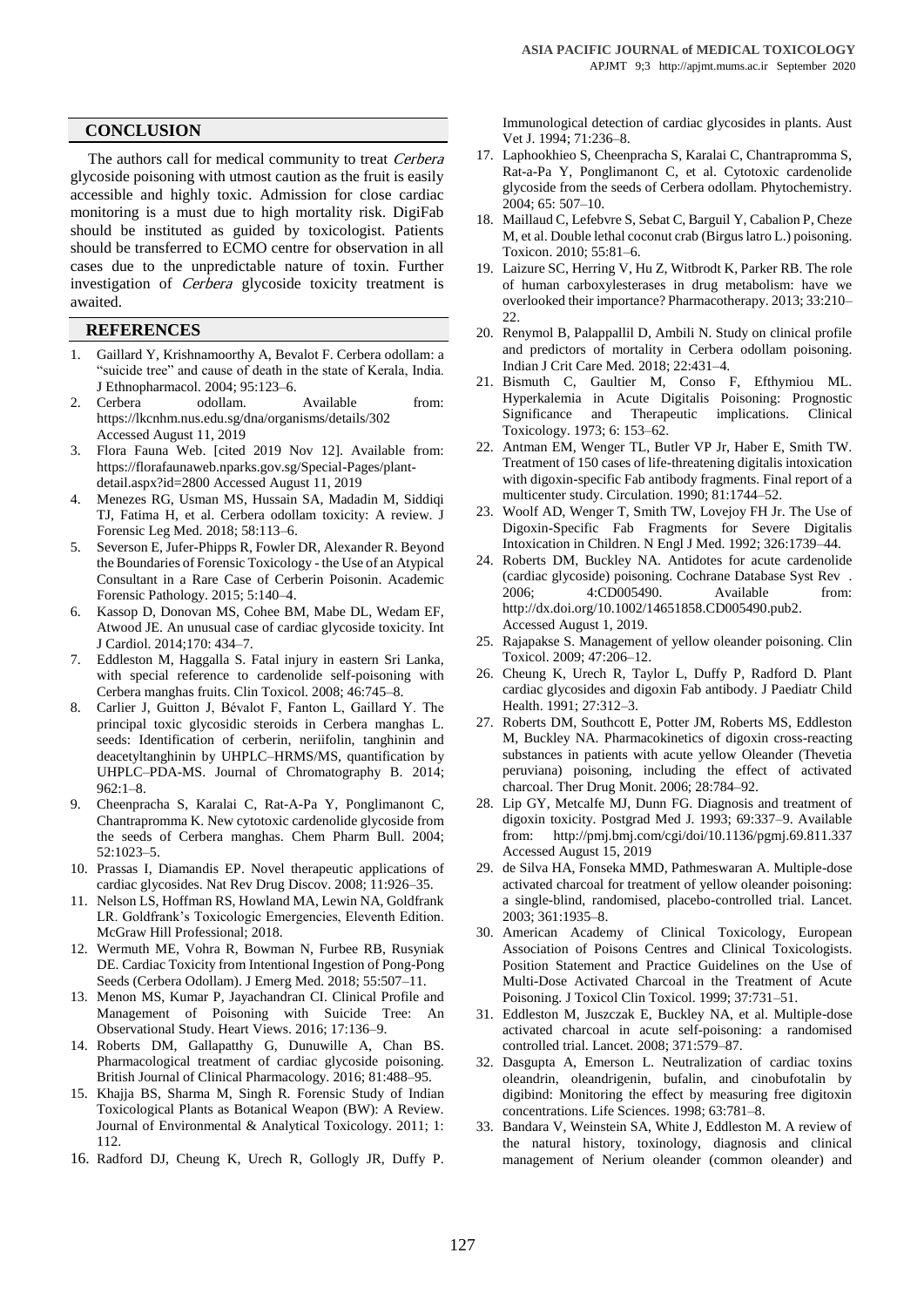## **CONCLUSION**

The authors call for medical community to treat Cerbera glycoside poisoning with utmost caution as the fruit is easily accessible and highly toxic. Admission for close cardiac monitoring is a must due to high mortality risk. DigiFab should be instituted as guided by toxicologist. Patients should be transferred to ECMO centre for observation in all cases due to the unpredictable nature of toxin. Further investigation of *Cerbera* glycoside toxicity treatment is awaited.

# **REFERENCES**

- 1. Gaillard Y, Krishnamoorthy A, Bevalot F. Cerbera odollam: a "suicide tree" and cause of death in the state of Kerala, India. J Ethnopharmacol. 2004; 95:123–6.
- 2. Cerbera odollam. Available from: https://lkcnhm.nus.edu.sg/dna/organisms/details/302 Accessed August 11, 2019
- 3. [Flora Fauna Web. \[cited 2019 Nov 12\]. Available from:](http://paperpile.com/b/ACac4j/CfaW)  https://florafaunaweb.nparks.gov.sg/Special-Pages/plantdetail.aspx?id=2800 Accessed August 11, 2019
- 4. Menezes RG, Usman MS, Hussain SA, Madadin M, Siddiqi TJ, Fatima H, et al. Cerbera odollam toxicity: A review. J Forensic Leg Med. 2018; 58:113–6.
- 5. [Severson E, Jufer-Phipps R, Fowler DR, Alexander R. Beyond](http://paperpile.com/b/ACac4j/jiip)  [the Boundaries of Forensic Toxicology -](http://paperpile.com/b/ACac4j/jiip) the Use of an Atypical [Consultant in a Rare Case of Cerberin Poisonin. Academic](http://paperpile.com/b/ACac4j/jiip)  [Forensic Pathology. 2015; 5:140–4.](http://paperpile.com/b/ACac4j/jiip)
- 6. [Kassop D, Donovan MS, Cohee BM, Mabe DL, Wedam EF,](http://paperpile.com/b/ACac4j/6q46)  [Atwood JE. An unusual case of cardiac glycoside toxicity. Int](http://paperpile.com/b/ACac4j/6q46)  [J Cardiol. 2014;170: 434–7.](http://paperpile.com/b/ACac4j/6q46)
- 7. [Eddleston M, Haggalla S. Fatal injury in eastern Sri Lanka,](http://paperpile.com/b/ACac4j/Myxo)  [with special reference to cardenolide self-poisoning with](http://paperpile.com/b/ACac4j/Myxo)  [Cerbera manghas fruits. Clin Toxicol. 2008; 46:745–8.](http://paperpile.com/b/ACac4j/Myxo)
- 8. Carlier J, Guitton J, Bévalot F, Fanton L, Gaillard Y. The principal toxic glycosidic steroids in Cerbera manghas L. seeds: Identification of cerberin, neriifolin, tanghinin and deacetyltanghinin by UHPLC–HRMS/MS, quantification by UHPLC–PDA-MS. Journal of Chromatography B. 2014;  $962:1-8.$
- 9. Cheenpracha S, Karalai C, Rat-A-Pa Y, Ponglimanont C, Chantrapromma K. New cytotoxic cardenolide glycoside from the seeds of Cerbera manghas. Chem Pharm Bull. 2004; 52:1023–5.
- 10. Prassas I, Diamandis EP. Novel therapeutic applications of cardiac glycosides. Nat Rev Drug Discov. 2008; 11:926–35.
- 11. [Nelson LS, Hoffman RS, Howland MA, Lewin NA, Goldfrank](http://paperpile.com/b/ACac4j/dD3B)  [LR. Goldfrank's Toxicologic Emergencies, Eleventh Edition.](http://paperpile.com/b/ACac4j/dD3B)  [McGraw Hill Professional; 2018.](http://paperpile.com/b/ACac4j/dD3B)
- 12. Wermuth ME, Vohra R, Bowman N, Furbee RB, Rusyniak DE. Cardiac Toxicity from Intentional Ingestion of Pong-Pong Seeds (Cerbera Odollam). J Emerg Med. 2018; 55:507–11.
- 13. Menon MS, Kumar P, Jayachandran CI. Clinical Profile and Management of Poisoning with Suicide Tree: An Observational Study. Heart Views. 2016; 17:136–9.
- 14. Roberts DM, Gallapatthy G, Dunuwille A, Chan BS. Pharmacological treatment of cardiac glycoside poisoning. British Journal of Clinical Pharmacology. 2016; 81:488–95.
- 15. Khajja BS, Sharma M, Singh R. Forensic Study of Indian Toxicological Plants as Botanical Weapon (BW): A Review. Journal of Environmental & Analytical Toxicology. 2011; 1: 112.
- 16. Radford DJ, Cheung K, Urech R, Gollogly JR, Duffy P.

Immunological detection of cardiac glycosides in plants. Aust Vet J. 1994; 71:236–8.

- 17. Laphookhieo S, Cheenpracha S, Karalai C, Chantrapromma S, Rat-a-Pa Y, Ponglimanont C, et al. Cytotoxic cardenolide glycoside from the seeds of Cerbera odollam. Phytochemistry. 2004; 65: 507–10.
- 18. Maillaud C, Lefebvre S, Sebat C, Barguil Y, Cabalion P, Cheze M, et al. Double lethal coconut crab (Birgus latro L.) poisoning. Toxicon. 2010; 55:81–6.
- 19. Laizure SC, Herring V, Hu Z, Witbrodt K, Parker RB. The role of human carboxylesterases in drug metabolism: have we overlooked their importance? Pharmacotherapy. 2013; 33:210– 22.
- 20. [Renymol B, Palappallil D, Ambili N. Study on clinical profile](http://paperpile.com/b/ACac4j/ntsa)  [and predictors of mortality in Cerbera odollam poisoning.](http://paperpile.com/b/ACac4j/ntsa)  [Indian J Crit Care Med. 2018; 22:431–4.](http://paperpile.com/b/ACac4j/ntsa)
- 21. Bismuth C, Gaultier M, Conso F, Efthymiou ML. Hyperkalemia in Acute Digitalis Poisoning: Prognostic Significance and Therapeutic implications. Clinical Toxicology. 1973; 6: 153–62.
- 22. Antman EM, Wenger TL, Butler VP Jr, Haber E, Smith TW. Treatment of 150 cases of life-threatening digitalis intoxication with digoxin-specific Fab antibody fragments. Final report of a multicenter study. Circulation. 1990; 81:1744–52.
- 23. Woolf AD, Wenger T, Smith TW, Lovejoy FH Jr. The Use of Digoxin-Specific Fab Fragments for Severe Digitalis Intoxication in Children. N Engl J Med. 1992; 326:1739–44.
- 24. [Roberts DM, Buckley NA. Antidotes for acute cardenolide](http://paperpile.com/b/ACac4j/mmqb)  [\(cardiac glycoside\) poisoning. Cochrane Database Syst Rev .](http://paperpile.com/b/ACac4j/mmqb)  [2006; 4:CD005490. Available from:](http://paperpile.com/b/ACac4j/mmqb)  [http://dx.doi.org/10.1002/14651858.CD005490.pub2.](http://dx.doi.org/10.1002/14651858.CD005490.pub2) Accessed August 1, 2019.
- 25. Rajapakse S. Management of yellow oleander poisoning. Clin Toxicol. 2009; 47:206–12.
- 26. [Cheung K, Urech R, Taylor L, Duffy P, Radford D. Plant](http://paperpile.com/b/ACac4j/zk97)  [cardiac glycosides and digoxin Fab antibody. J Paediatr Child](http://paperpile.com/b/ACac4j/zk97)  [Health. 1991; 27:312–3.](http://paperpile.com/b/ACac4j/zk97)
- 27. Roberts DM, Southcott E, Potter JM, Roberts MS, Eddleston M, Buckley NA. Pharmacokinetics of digoxin cross-reacting substances in patients with acute yellow Oleander (Thevetia peruviana) poisoning, including the effect of activated charcoal. Ther Drug Monit. 2006; 28:784–92.
- 28. Lip GY, Metcalfe MJ, Dunn FG. Diagnosis and treatment of digoxin toxicity. Postgrad Med J. 1993; 69:337–9. Available from: <http://pmj.bmj.com/cgi/doi/10.1136/pgmj.69.811.337> Accessed August 15, 2019
- 29. de Silva HA, Fonseka MMD, Pathmeswaran A. Multiple-dose activated charcoal for treatment of yellow oleander poisoning: a single-blind, randomised, placebo-controlled trial. Lancet. 2003; 361:1935–8.
- 30. American Academy of Clinical Toxicology, European Association of Poisons Centres and Clinical Toxicologists. Position Statement and Practice Guidelines on the Use of Multi-Dose Activated Charcoal in the Treatment of Acute Poisoning. J Toxicol Clin Toxicol. 1999; 37:731–51.
- 31. Eddleston M, Juszczak E, Buckley NA, et al. Multiple-dose activated charcoal in acute self-poisoning: a randomised controlled trial. Lancet. 2008; 371:579–87.
- 32. [Dasgupta A, Emerson L. Neutralization of cardiac toxins](http://paperpile.com/b/ACac4j/ZcPM)  [oleandrin, oleandrigenin, bufalin, and cinobufotalin by](http://paperpile.com/b/ACac4j/ZcPM)  [digibind: Monitoring the effect by measuring free digitoxin](http://paperpile.com/b/ACac4j/ZcPM)  [concentrations. Life Sciences. 1998; 63:781–8.](http://paperpile.com/b/ACac4j/ZcPM)
- 33. Bandara V, Weinstein SA, White J, Eddleston M. A review of the natural history, toxinology, diagnosis and clinical management of Nerium oleander (common oleander) and